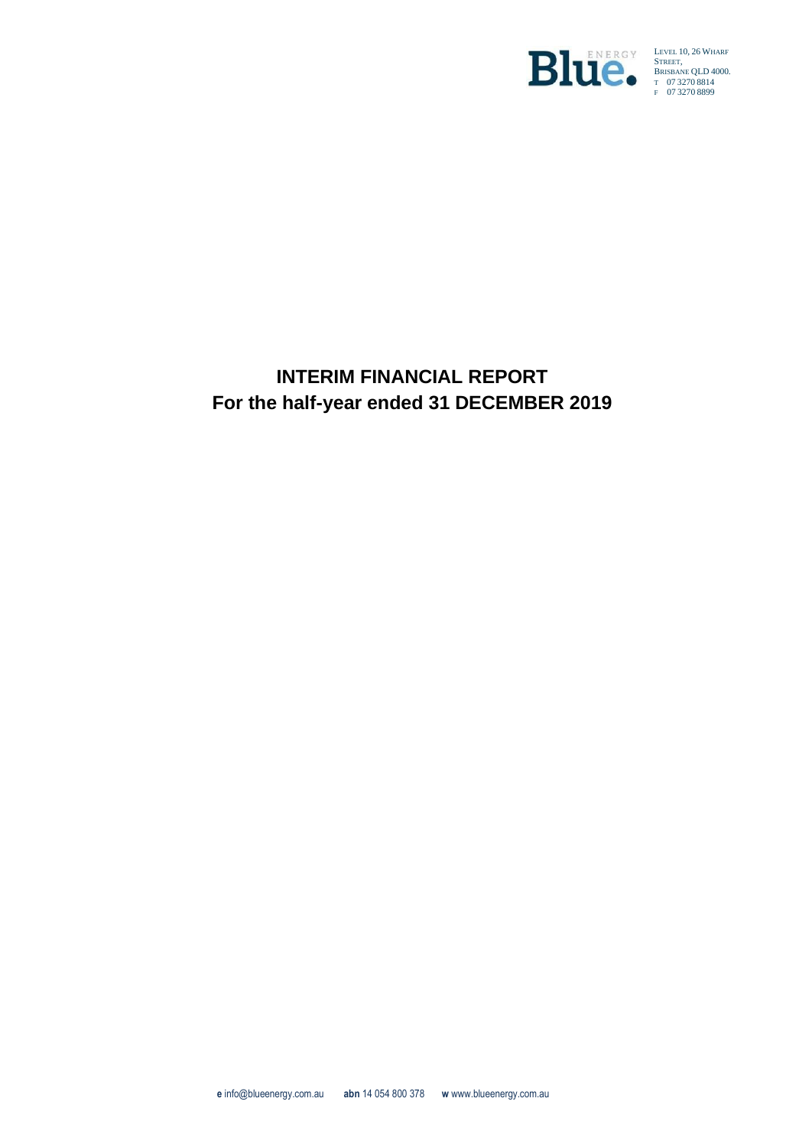

LEVEL 10, 26 WHARF STREET, BRISBANE QLD 4000. T 07 3270 8814 F 07 3270 8899

# **INTERIM FINANCIAL REPORT For the half-year ended 31 DECEMBER 2019**

**e** info@blueenergy.com.au **abn** 14 054 800 378 **w** www.blueenergy.com.au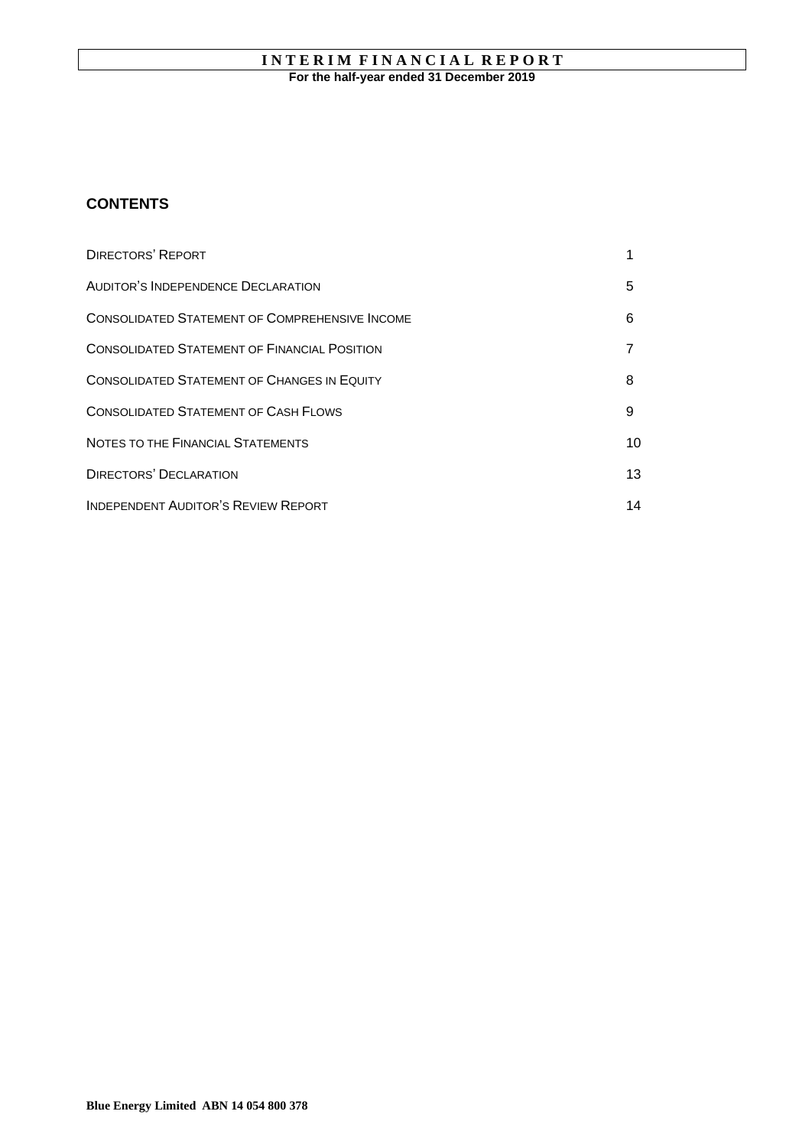# **INTERIM FINANCIAL REPORT For the half-year ended 31 December 2019**

# **CONTENTS**

| <b>DIRECTORS' REPORT</b>                              |    |
|-------------------------------------------------------|----|
| AUDITOR'S INDEPENDENCE DECLARATION                    | 5  |
| <b>CONSOLIDATED STATEMENT OF COMPREHENSIVE INCOME</b> | 6  |
| <b>CONSOLIDATED STATEMENT OF FINANCIAL POSITION</b>   |    |
| <b>CONSOLIDATED STATEMENT OF CHANGES IN EQUITY</b>    | 8  |
| <b>CONSOLIDATED STATEMENT OF CASH FLOWS</b>           | 9  |
| NOTES TO THE FINANCIAL STATEMENTS                     | 10 |
| <b>DIRECTORS' DECLARATION</b>                         | 13 |
| <b>INDEPENDENT AUDITOR'S REVIEW REPORT</b>            | 14 |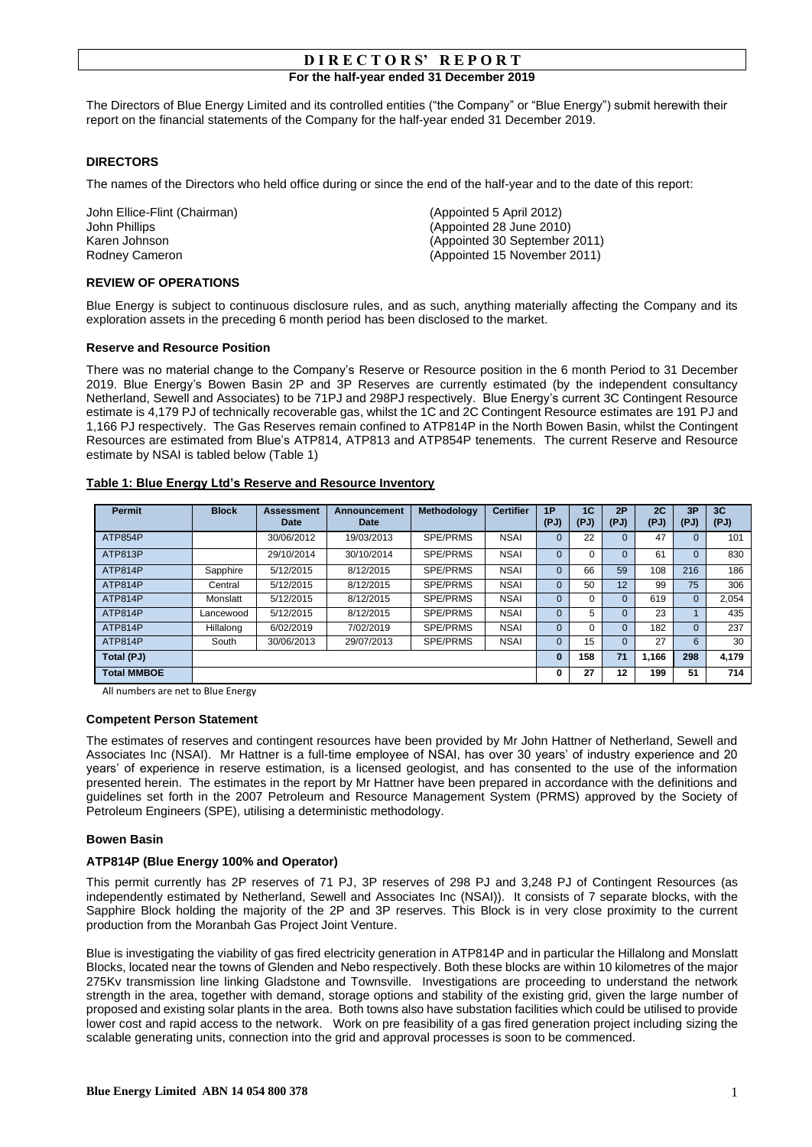The Directors of Blue Energy Limited and its controlled entities ("the Company" or "Blue Energy") submit herewith their report on the financial statements of the Company for the half-year ended 31 December 2019.

## **DIRECTORS**

The names of the Directors who held office during or since the end of the half-year and to the date of this report:

John Ellice-Flint (Chairman) (Appointed 5 April 2012)<br>John Phillips (Appointed 28 June 2010)

(Appointed 28 June 2010) Karen Johnson (Appointed 30 September 2011) Rodney Cameron (Appointed 15 November 2011)

## **REVIEW OF OPERATIONS**

Blue Energy is subject to continuous disclosure rules, and as such, anything materially affecting the Company and its exploration assets in the preceding 6 month period has been disclosed to the market.

#### **Reserve and Resource Position**

There was no material change to the Company's Reserve or Resource position in the 6 month Period to 31 December 2019. Blue Energy's Bowen Basin 2P and 3P Reserves are currently estimated (by the independent consultancy Netherland, Sewell and Associates) to be 71PJ and 298PJ respectively. Blue Energy's current 3C Contingent Resource estimate is 4,179 PJ of technically recoverable gas, whilst the 1C and 2C Contingent Resource estimates are 191 PJ and 1,166 PJ respectively. The Gas Reserves remain confined to ATP814P in the North Bowen Basin, whilst the Contingent Resources are estimated from Blue's ATP814, ATP813 and ATP854P tenements. The current Reserve and Resource estimate by NSAI is tabled below (Table 1)

#### **Table 1: Blue Energy Ltd's Reserve and Resource Inventory**

| <b>Permit</b>      | <b>Block</b> | <b>Assessment</b><br><b>Date</b> | Announcement<br>Date | Methodology | <b>Certifier</b> | 1P<br>(PJ) | 1 <sub>C</sub><br>(PJ) | 2P<br>(PJ)   | 2C<br>(PJ) | 3P<br>(PJ)   | 3C<br>(PJ) |
|--------------------|--------------|----------------------------------|----------------------|-------------|------------------|------------|------------------------|--------------|------------|--------------|------------|
| ATP854P            |              | 30/06/2012                       | 19/03/2013           | SPE/PRMS    | <b>NSAI</b>      | 0          | 22                     | $\mathbf{0}$ | 47         | $\Omega$     | 101        |
| ATP813P            |              | 29/10/2014                       | 30/10/2014           | SPE/PRMS    | <b>NSAI</b>      | $\Omega$   | 0                      | $\Omega$     | 61         | $\Omega$     | 830        |
| ATP814P            | Sapphire     | 5/12/2015                        | 8/12/2015            | SPE/PRMS    | <b>NSAI</b>      | $\Omega$   | 66                     | 59           | 108        | 216          | 186        |
| ATP814P            | Central      | 5/12/2015                        | 8/12/2015            | SPE/PRMS    | <b>NSAI</b>      | 0          | 50                     | 12           | 99         | 75           | 306        |
| ATP814P            | Monslatt     | 5/12/2015                        | 8/12/2015            | SPE/PRMS    | <b>NSAI</b>      | 0          | 0                      | $\mathbf{0}$ | 619        | $\mathbf{0}$ | 2,054      |
| ATP814P            | Lancewood    | 5/12/2015                        | 8/12/2015            | SPE/PRMS    | <b>NSAI</b>      | $\Omega$   | 5                      | $\mathbf{0}$ | 23         |              | 435        |
| ATP814P            | Hillalong    | 6/02/2019                        | 7/02/2019            | SPE/PRMS    | <b>NSAI</b>      | $\Omega$   | 0                      | $\Omega$     | 182        | $\Omega$     | 237        |
| ATP814P            | South        | 30/06/2013                       | 29/07/2013           | SPE/PRMS    | <b>NSAI</b>      |            | 15                     | $\Omega$     | 27         | 6            | 30         |
| Total (PJ)         |              |                                  |                      |             |                  | 0          | 158                    | 71           | 1.166      | 298          | 4.179      |
| <b>Total MMBOE</b> |              |                                  |                      |             |                  | 0          | 27                     | 12           | 199        | 51           | 714        |

All numbers are net to Blue Energy

#### **Competent Person Statement**

The estimates of reserves and contingent resources have been provided by Mr John Hattner of Netherland, Sewell and Associates Inc (NSAI). Mr Hattner is a full-time employee of NSAI, has over 30 years' of industry experience and 20 years' of experience in reserve estimation, is a licensed geologist, and has consented to the use of the information presented herein. The estimates in the report by Mr Hattner have been prepared in accordance with the definitions and guidelines set forth in the 2007 Petroleum and Resource Management System (PRMS) approved by the Society of Petroleum Engineers (SPE), utilising a deterministic methodology.

#### **Bowen Basin**

#### **ATP814P (Blue Energy 100% and Operator)**

This permit currently has 2P reserves of 71 PJ, 3P reserves of 298 PJ and 3,248 PJ of Contingent Resources (as independently estimated by Netherland, Sewell and Associates Inc (NSAI)). It consists of 7 separate blocks, with the Sapphire Block holding the majority of the 2P and 3P reserves. This Block is in very close proximity to the current production from the Moranbah Gas Project Joint Venture.

Blue is investigating the viability of gas fired electricity generation in ATP814P and in particular the Hillalong and Monslatt Blocks, located near the towns of Glenden and Nebo respectively. Both these blocks are within 10 kilometres of the major 275Kv transmission line linking Gladstone and Townsville. Investigations are proceeding to understand the network strength in the area, together with demand, storage options and stability of the existing grid, given the large number of proposed and existing solar plants in the area. Both towns also have substation facilities which could be utilised to provide lower cost and rapid access to the network. Work on pre feasibility of a gas fired generation project including sizing the scalable generating units, connection into the grid and approval processes is soon to be commenced.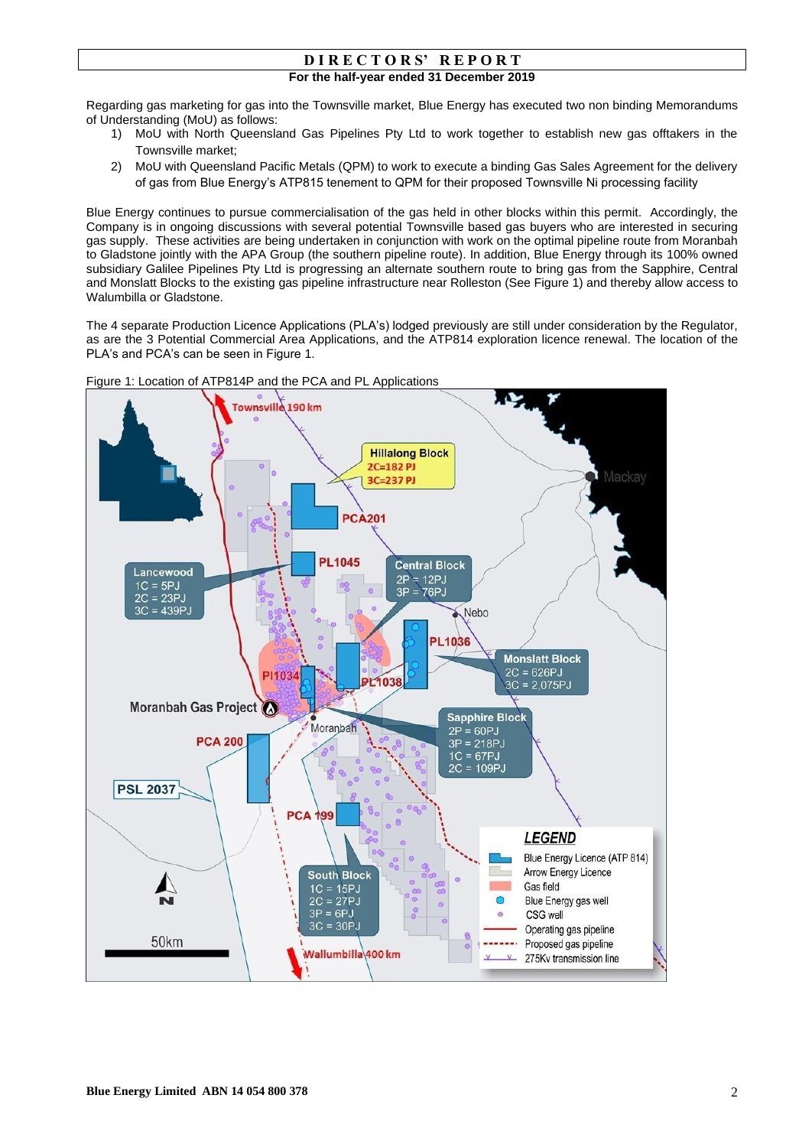Regarding gas marketing for gas into the Townsville market, Blue Energy has executed two non binding Memorandums of Understanding (MoU) as follows:

- 1) MoU with North Queensland Gas Pipelines Pty Ltd to work together to establish new gas offtakers in the Townsville market;
- 2) MoU with Queensland Pacific Metals (QPM) to work to execute a binding Gas Sales Agreement for the delivery of gas from Blue Energy's ATP815 tenement to QPM for their proposed Townsville Ni processing facility

Blue Energy continues to pursue commercialisation of the gas held in other blocks within this permit. Accordingly, the Company is in ongoing discussions with several potential Townsville based gas buyers who are interested in securing gas supply. These activities are being undertaken in conjunction with work on the optimal pipeline route from Moranbah to Gladstone jointly with the APA Group (the southern pipeline route). In addition, Blue Energy through its 100% owned subsidiary Galilee Pipelines Pty Ltd is progressing an alternate southern route to bring gas from the Sapphire, Central and Monslatt Blocks to the existing gas pipeline infrastructure near Rolleston (See Figure 1) and thereby allow access to Walumbilla or Gladstone.

The 4 separate Production Licence Applications (PLA's) lodged previously are still under consideration by the Regulator, as are the 3 Potential Commercial Area Applications, and the ATP814 exploration licence renewal. The location of the PLA's and PCA's can be seen in Figure 1.



Figure 1: Location of ATP814P and the PCA and PL Applications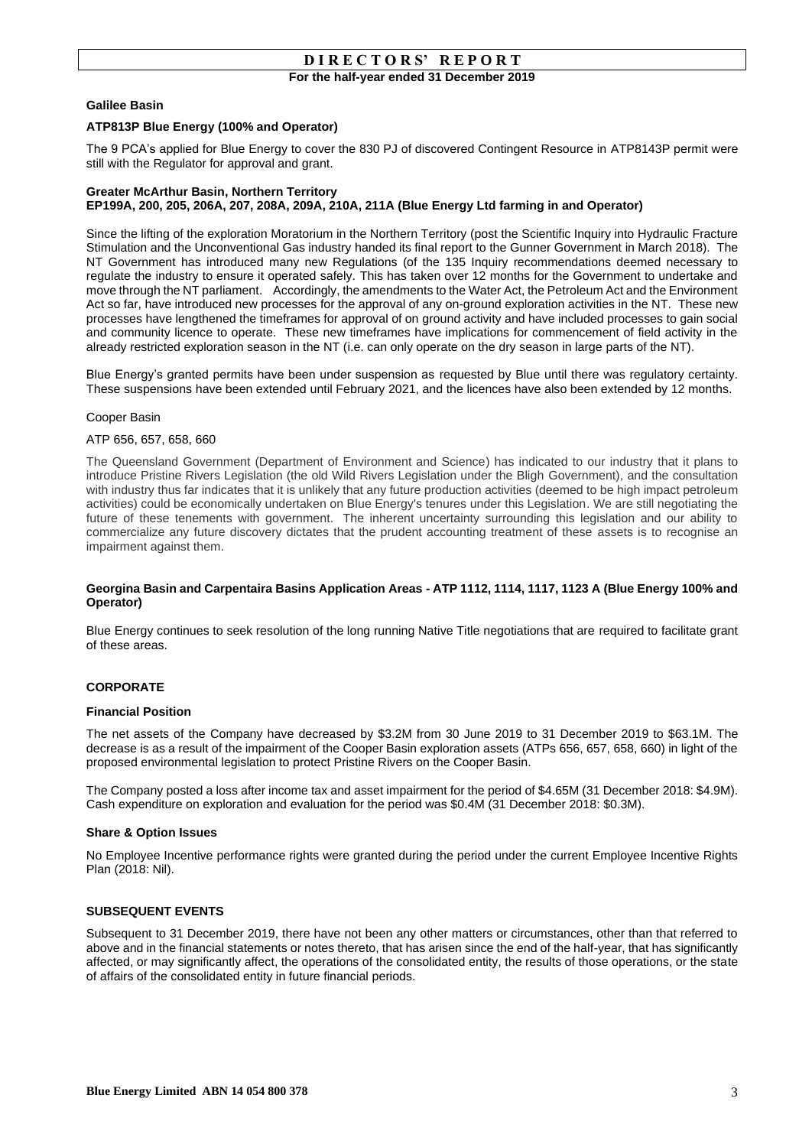#### **Galilee Basin**

### **ATP813P Blue Energy (100% and Operator)**

The 9 PCA's applied for Blue Energy to cover the 830 PJ of discovered Contingent Resource in ATP8143P permit were still with the Regulator for approval and grant.

#### **Greater McArthur Basin, Northern Territory EP199A, 200, 205, 206A, 207, 208A, 209A, 210A, 211A (Blue Energy Ltd farming in and Operator)**

Since the lifting of the exploration Moratorium in the Northern Territory (post the Scientific Inquiry into Hydraulic Fracture Stimulation and the Unconventional Gas industry handed its final report to the Gunner Government in March 2018). The NT Government has introduced many new Regulations (of the 135 Inquiry recommendations deemed necessary to regulate the industry to ensure it operated safely. This has taken over 12 months for the Government to undertake and move through the NT parliament. Accordingly, the amendments to the Water Act, the Petroleum Act and the Environment Act so far, have introduced new processes for the approval of any on-ground exploration activities in the NT. These new processes have lengthened the timeframes for approval of on ground activity and have included processes to gain social and community licence to operate. These new timeframes have implications for commencement of field activity in the already restricted exploration season in the NT (i.e. can only operate on the dry season in large parts of the NT).

Blue Energy's granted permits have been under suspension as requested by Blue until there was regulatory certainty. These suspensions have been extended until February 2021, and the licences have also been extended by 12 months.

#### Cooper Basin

#### ATP 656, 657, 658, 660

The Queensland Government (Department of Environment and Science) has indicated to our industry that it plans to introduce Pristine Rivers Legislation (the old Wild Rivers Legislation under the Bligh Government), and the consultation with industry thus far indicates that it is unlikely that any future production activities (deemed to be high impact petroleum activities) could be economically undertaken on Blue Energy's tenures under this Legislation. We are still negotiating the future of these tenements with government. The inherent uncertainty surrounding this legislation and our ability to commercialize any future discovery dictates that the prudent accounting treatment of these assets is to recognise an impairment against them.

#### **Georgina Basin and Carpentaira Basins Application Areas - ATP 1112, 1114, 1117, 1123 A (Blue Energy 100% and Operator)**

Blue Energy continues to seek resolution of the long running Native Title negotiations that are required to facilitate grant of these areas.

#### **CORPORATE**

#### **Financial Position**

The net assets of the Company have decreased by \$3.2M from 30 June 2019 to 31 December 2019 to \$63.1M. The decrease is as a result of the impairment of the Cooper Basin exploration assets (ATPs 656, 657, 658, 660) in light of the proposed environmental legislation to protect Pristine Rivers on the Cooper Basin.

The Company posted a loss after income tax and asset impairment for the period of \$4.65M (31 December 2018: \$4.9M). Cash expenditure on exploration and evaluation for the period was \$0.4M (31 December 2018: \$0.3M).

#### **Share & Option Issues**

No Employee Incentive performance rights were granted during the period under the current Employee Incentive Rights Plan (2018: Nil).

#### **SUBSEQUENT EVENTS**

Subsequent to 31 December 2019, there have not been any other matters or circumstances, other than that referred to above and in the financial statements or notes thereto, that has arisen since the end of the half-year, that has significantly affected, or may significantly affect, the operations of the consolidated entity, the results of those operations, or the state of affairs of the consolidated entity in future financial periods.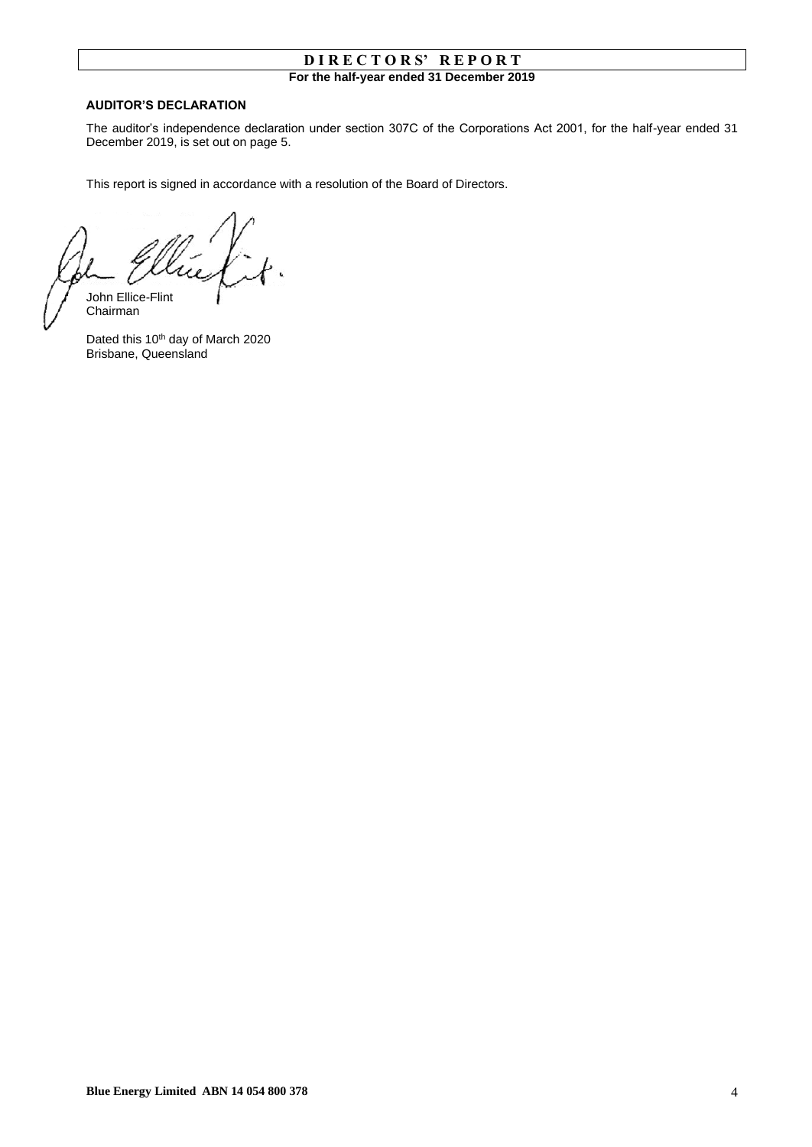### **AUDITOR'S DECLARATION**

The auditor's independence declaration under section 307C of the Corporations Act 2001, for the half-year ended 31 December 2019, is set out on page 5.

This report is signed in accordance with a resolution of the Board of Directors.

John Ellice-Flint

Chairman

Dated this 10<sup>th</sup> day of March 2020 Brisbane, Queensland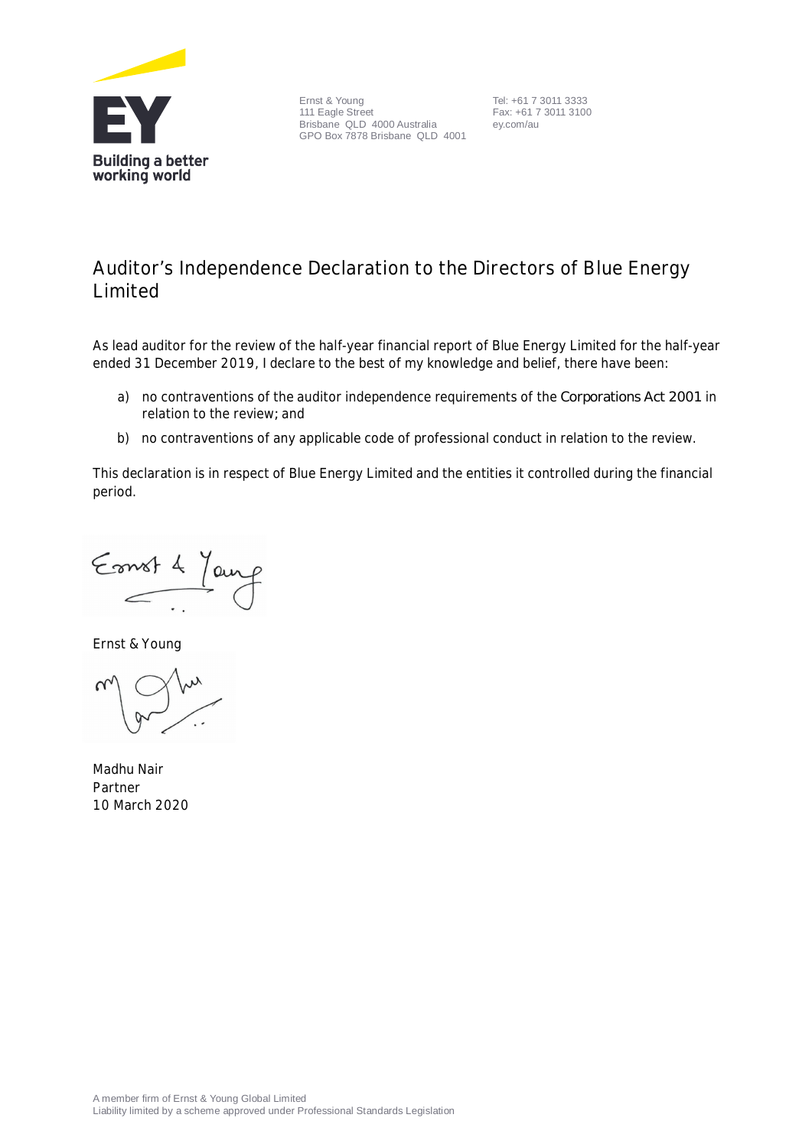

Ernst & Young 111 Eagle Street Brisbane QLD 4000 Australia GPO Box 7878 Brisbane QLD 4001

Tel: +61 7 3011 3333 Fax: +61 7 3011 3100 ey.com/au

# **Auditor's Independence Declaration to the Directors of Blue Energy Limited**

As lead auditor for the review of the half-year financial report of Blue Energy Limited for the half-year ended 31 December 2019, I declare to the best of my knowledge and belief, there have been:

- a) no contraventions of the auditor independence requirements of the *Corporations Act 2001* in relation to the review*;* and
- b) no contraventions of any applicable code of professional conduct in relation to the review.

This declaration is in respect of Blue Energy Limited and the entities it controlled during the financial period.

Emst 4 Jan

Ernst & Young

Madhu Nair Partner 10 March 2020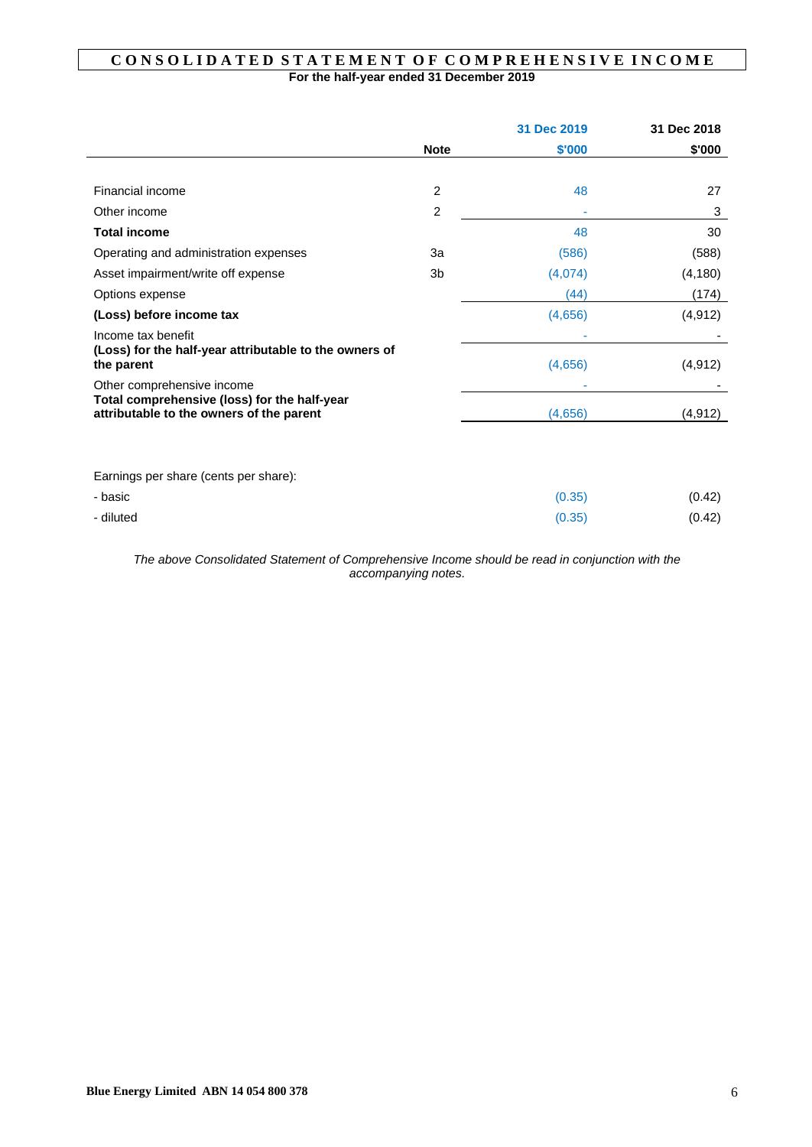# **C O N S O L I D A T E D S T A T E M E N T O F C O M P R E H E N S I V E I N C O M E For the half-year ended 31 December 2019**

|                                                                                          |                | 31 Dec 2019 | 31 Dec 2018 |
|------------------------------------------------------------------------------------------|----------------|-------------|-------------|
|                                                                                          | <b>Note</b>    | \$'000      | \$'000      |
|                                                                                          |                |             |             |
| Financial income                                                                         | 2              | 48          | 27          |
| Other income                                                                             | $\overline{c}$ |             | 3           |
| <b>Total income</b>                                                                      |                | 48          | 30          |
| Operating and administration expenses                                                    | За             | (586)       | (588)       |
| Asset impairment/write off expense                                                       | 3b             | (4,074)     | (4, 180)    |
| Options expense                                                                          |                | (44)        | (174)       |
| (Loss) before income tax                                                                 |                | (4,656)     | (4, 912)    |
| Income tax benefit                                                                       |                |             |             |
| (Loss) for the half-year attributable to the owners of<br>the parent                     |                | (4,656)     | (4, 912)    |
| Other comprehensive income                                                               |                |             |             |
| Total comprehensive (loss) for the half-year<br>attributable to the owners of the parent |                | (4,656)     | (4, 912)    |
|                                                                                          |                |             |             |
| Earnings per share (cents per share):                                                    |                |             |             |
| - basic                                                                                  |                | (0.35)      | (0.42)      |
| - diluted                                                                                |                | (0.35)      | (0.42)      |

*The above Consolidated Statement of Comprehensive Income should be read in conjunction with the accompanying notes.*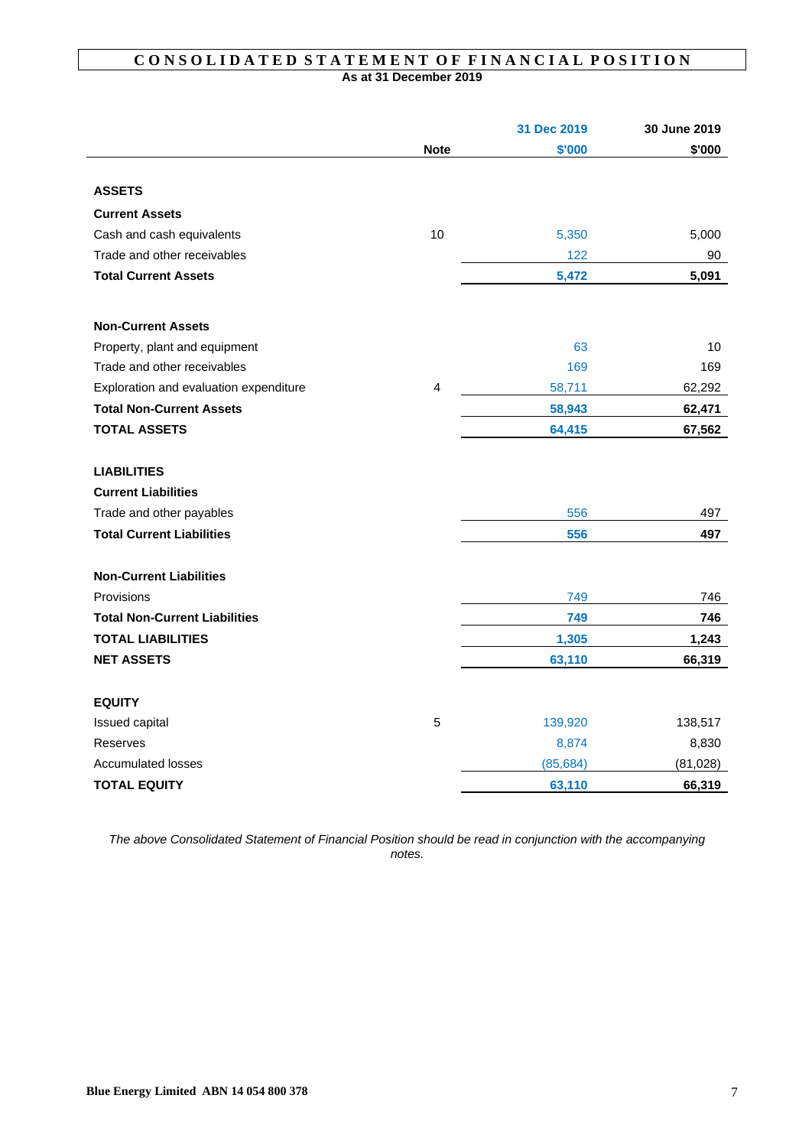# CONSOLIDATED STATEMENT OF FINANCIAL POSITION **As at 31 December 2019**

|                                        |             | 31 Dec 2019 | 30 June 2019 |
|----------------------------------------|-------------|-------------|--------------|
|                                        | <b>Note</b> | \$'000      | \$'000       |
|                                        |             |             |              |
| <b>ASSETS</b>                          |             |             |              |
| <b>Current Assets</b>                  |             |             |              |
| Cash and cash equivalents              | 10          | 5,350       | 5,000        |
| Trade and other receivables            |             | 122         | 90           |
| <b>Total Current Assets</b>            |             | 5,472       | 5,091        |
| <b>Non-Current Assets</b>              |             |             |              |
| Property, plant and equipment          |             | 63          | 10           |
| Trade and other receivables            |             | 169         | 169          |
| Exploration and evaluation expenditure | 4           | 58,711      | 62,292       |
| <b>Total Non-Current Assets</b>        |             | 58,943      | 62,471       |
| <b>TOTAL ASSETS</b>                    |             | 64,415      | 67,562       |
| <b>LIABILITIES</b>                     |             |             |              |
| <b>Current Liabilities</b>             |             |             |              |
| Trade and other payables               |             | 556         | 497          |
| <b>Total Current Liabilities</b>       |             | 556         | 497          |
| <b>Non-Current Liabilities</b>         |             |             |              |
| Provisions                             |             | 749         | 746          |
| <b>Total Non-Current Liabilities</b>   |             | 749         | 746          |
| <b>TOTAL LIABILITIES</b>               |             | 1,305       | 1,243        |
| <b>NET ASSETS</b>                      |             | 63,110      | 66,319       |
| <b>EQUITY</b>                          |             |             |              |
| Issued capital                         | 5           | 139,920     | 138,517      |
| Reserves                               |             | 8,874       | 8,830        |
| <b>Accumulated losses</b>              |             | (85, 684)   | (81, 028)    |
| <b>TOTAL EQUITY</b>                    |             | 63,110      | 66,319       |

*The above Consolidated Statement of Financial Position should be read in conjunction with the accompanying notes.*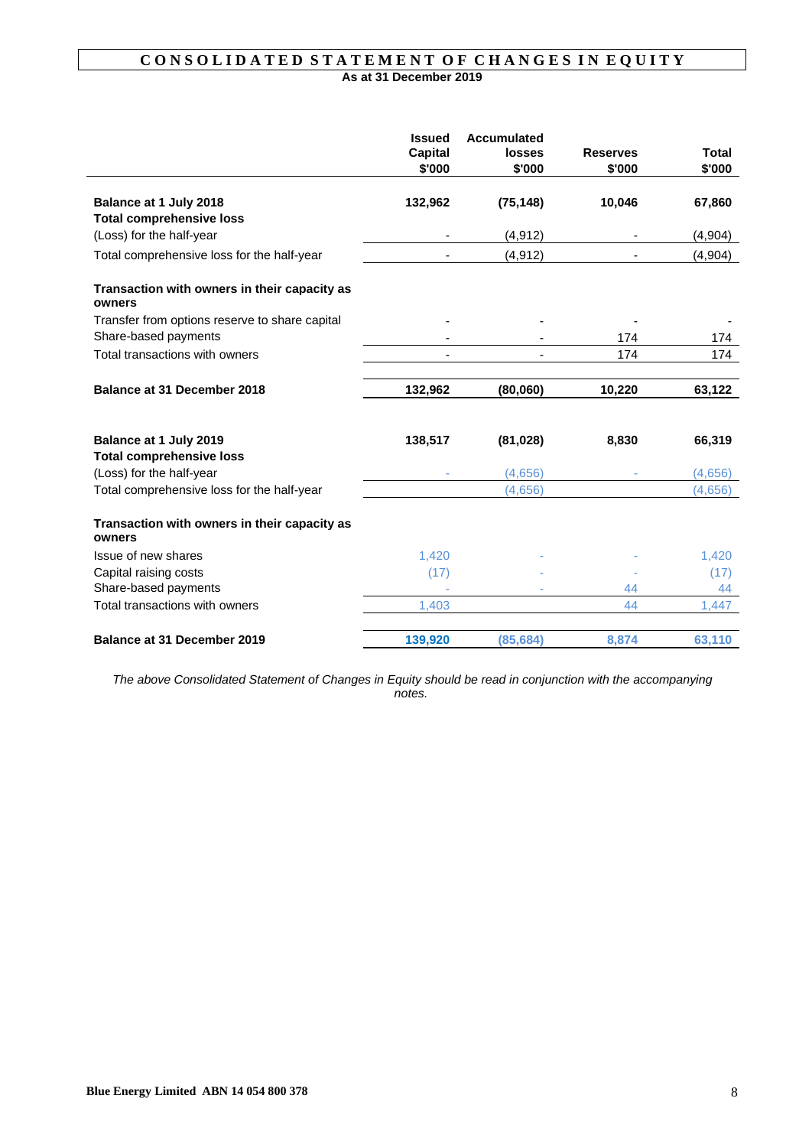# CONSOLIDATED STATEMENT OF CHANGES IN EQUITY **As at 31 December 2019**

|                                                        | <b>Issued</b><br>Capital<br>\$'000 | <b>Accumulated</b><br>losses<br>\$'000 | <b>Reserves</b><br>\$'000 | <b>Total</b><br>\$'000 |
|--------------------------------------------------------|------------------------------------|----------------------------------------|---------------------------|------------------------|
| Balance at 1 July 2018                                 | 132,962                            | (75, 148)                              | 10,046                    | 67,860                 |
| <b>Total comprehensive loss</b>                        |                                    |                                        |                           |                        |
| (Loss) for the half-year                               |                                    | (4, 912)                               |                           | (4,904)                |
| Total comprehensive loss for the half-year             |                                    | (4, 912)                               |                           | (4,904)                |
| Transaction with owners in their capacity as<br>owners |                                    |                                        |                           |                        |
| Transfer from options reserve to share capital         |                                    |                                        |                           |                        |
| Share-based payments                                   |                                    |                                        | 174                       | 174                    |
| Total transactions with owners                         |                                    |                                        | 174                       | 174                    |
| Balance at 31 December 2018                            | 132,962                            | (80,060)                               | 10,220                    | 63,122                 |
| Balance at 1 July 2019                                 | 138,517                            | (81, 028)                              | 8,830                     | 66,319                 |
| <b>Total comprehensive loss</b>                        |                                    |                                        |                           |                        |
| (Loss) for the half-year                               |                                    | (4,656)                                |                           | (4,656)                |
| Total comprehensive loss for the half-year             |                                    | (4,656)                                |                           | (4,656)                |
| Transaction with owners in their capacity as<br>owners |                                    |                                        |                           |                        |
| Issue of new shares                                    | 1,420                              |                                        |                           | 1,420                  |
| Capital raising costs                                  | (17)                               |                                        |                           | (17)                   |
| Share-based payments                                   |                                    |                                        | 44                        | 44                     |
| Total transactions with owners                         | 1,403                              |                                        | 44                        | 1,447                  |
| <b>Balance at 31 December 2019</b>                     | 139,920                            | (85, 684)                              | 8,874                     | 63,110                 |

*The above Consolidated Statement of Changes in Equity should be read in conjunction with the accompanying notes.*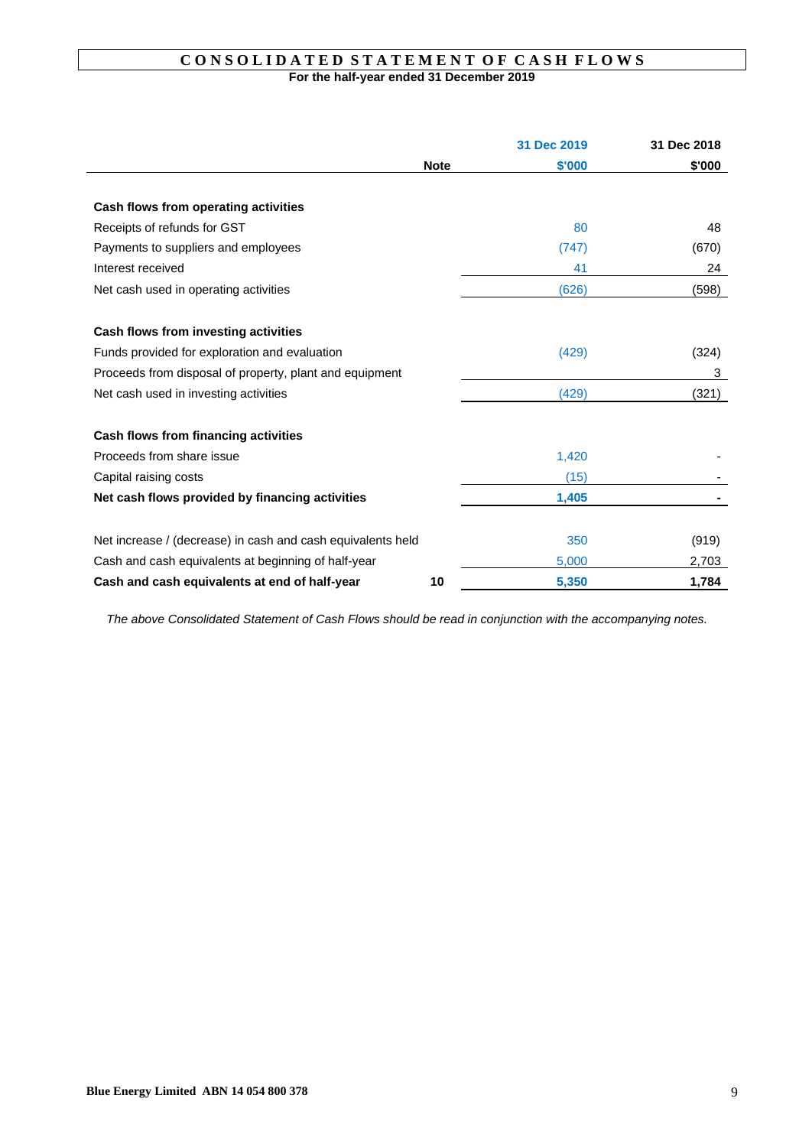# **C O N S O L I D A T E D S T A T E M E N T O F C A S H F L O W S For the half-year ended 31 December 2019**

|                                                             |             | 31 Dec 2019 | 31 Dec 2018 |
|-------------------------------------------------------------|-------------|-------------|-------------|
|                                                             | <b>Note</b> | \$'000      | \$'000      |
|                                                             |             |             |             |
| Cash flows from operating activities                        |             |             |             |
| Receipts of refunds for GST                                 |             | 80          | 48          |
| Payments to suppliers and employees                         |             | (747)       | (670)       |
| Interest received                                           |             | 41          | 24          |
| Net cash used in operating activities                       |             | (626)       | (598)       |
|                                                             |             |             |             |
| Cash flows from investing activities                        |             |             |             |
| Funds provided for exploration and evaluation               |             | (429)       | (324)       |
| Proceeds from disposal of property, plant and equipment     |             |             | 3           |
| Net cash used in investing activities                       |             | (429)       | (321)       |
|                                                             |             |             |             |
| Cash flows from financing activities                        |             |             |             |
| Proceeds from share issue                                   |             | 1,420       |             |
| Capital raising costs                                       |             | (15)        |             |
| Net cash flows provided by financing activities             |             | 1,405       |             |
|                                                             |             |             |             |
| Net increase / (decrease) in cash and cash equivalents held |             | 350         | (919)       |
| Cash and cash equivalents at beginning of half-year         |             | 5,000       | 2,703       |
| Cash and cash equivalents at end of half-year               | 10          | 5,350       | 1.784       |

*The above Consolidated Statement of Cash Flows should be read in conjunction with the accompanying notes.*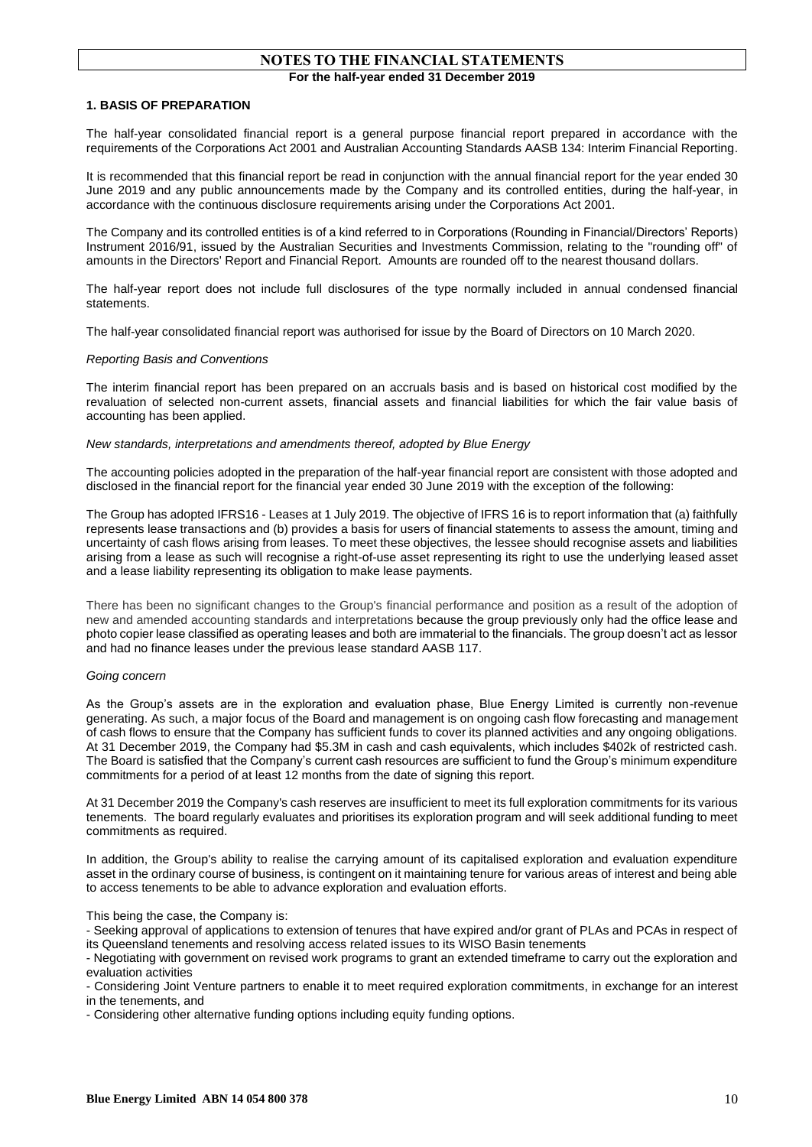# **NOTES TO THE FINANCIAL STATEMENTS For the half-year ended 31 December 2019**

#### **1. BASIS OF PREPARATION**

The half-year consolidated financial report is a general purpose financial report prepared in accordance with the requirements of the Corporations Act 2001 and Australian Accounting Standards AASB 134: Interim Financial Reporting.

It is recommended that this financial report be read in conjunction with the annual financial report for the year ended 30 June 2019 and any public announcements made by the Company and its controlled entities, during the half-year, in accordance with the continuous disclosure requirements arising under the Corporations Act 2001.

The Company and its controlled entities is of a kind referred to in Corporations (Rounding in Financial/Directors' Reports) Instrument 2016/91, issued by the Australian Securities and Investments Commission, relating to the "rounding off" of amounts in the Directors' Report and Financial Report. Amounts are rounded off to the nearest thousand dollars.

The half-year report does not include full disclosures of the type normally included in annual condensed financial statements.

The half-year consolidated financial report was authorised for issue by the Board of Directors on 10 March 2020.

#### *Reporting Basis and Conventions*

The interim financial report has been prepared on an accruals basis and is based on historical cost modified by the revaluation of selected non-current assets, financial assets and financial liabilities for which the fair value basis of accounting has been applied.

#### *New standards, interpretations and amendments thereof, adopted by Blue Energy*

The accounting policies adopted in the preparation of the half-year financial report are consistent with those adopted and disclosed in the financial report for the financial year ended 30 June 2019 with the exception of the following:

The Group has adopted IFRS16 - Leases at 1 July 2019. The objective of IFRS 16 is to report information that (a) faithfully represents lease transactions and (b) provides a basis for users of financial statements to assess the amount, timing and uncertainty of cash flows arising from leases. To meet these objectives, the lessee should recognise assets and liabilities arising from a lease as such will recognise a right-of-use asset representing its right to use the underlying leased asset and a lease liability representing its obligation to make lease payments.

There has been no significant changes to the Group's financial performance and position as a result of the adoption of new and amended accounting standards and interpretations because the group previously only had the office lease and photo copier lease classified as operating leases and both are immaterial to the financials. The group doesn't act as lessor and had no finance leases under the previous lease standard AASB 117.

#### *Going concern*

As the Group's assets are in the exploration and evaluation phase, Blue Energy Limited is currently non-revenue generating. As such, a major focus of the Board and management is on ongoing cash flow forecasting and management of cash flows to ensure that the Company has sufficient funds to cover its planned activities and any ongoing obligations. At 31 December 2019, the Company had \$5.3M in cash and cash equivalents, which includes \$402k of restricted cash. The Board is satisfied that the Company's current cash resources are sufficient to fund the Group's minimum expenditure commitments for a period of at least 12 months from the date of signing this report.

At 31 December 2019 the Company's cash reserves are insufficient to meet its full exploration commitments for its various tenements. The board regularly evaluates and prioritises its exploration program and will seek additional funding to meet commitments as required.

In addition, the Group's ability to realise the carrying amount of its capitalised exploration and evaluation expenditure asset in the ordinary course of business, is contingent on it maintaining tenure for various areas of interest and being able to access tenements to be able to advance exploration and evaluation efforts.

#### This being the case, the Company is:

- Seeking approval of applications to extension of tenures that have expired and/or grant of PLAs and PCAs in respect of its Queensland tenements and resolving access related issues to its WISO Basin tenements

- Negotiating with government on revised work programs to grant an extended timeframe to carry out the exploration and evaluation activities

- Considering Joint Venture partners to enable it to meet required exploration commitments, in exchange for an interest in the tenements, and

- Considering other alternative funding options including equity funding options.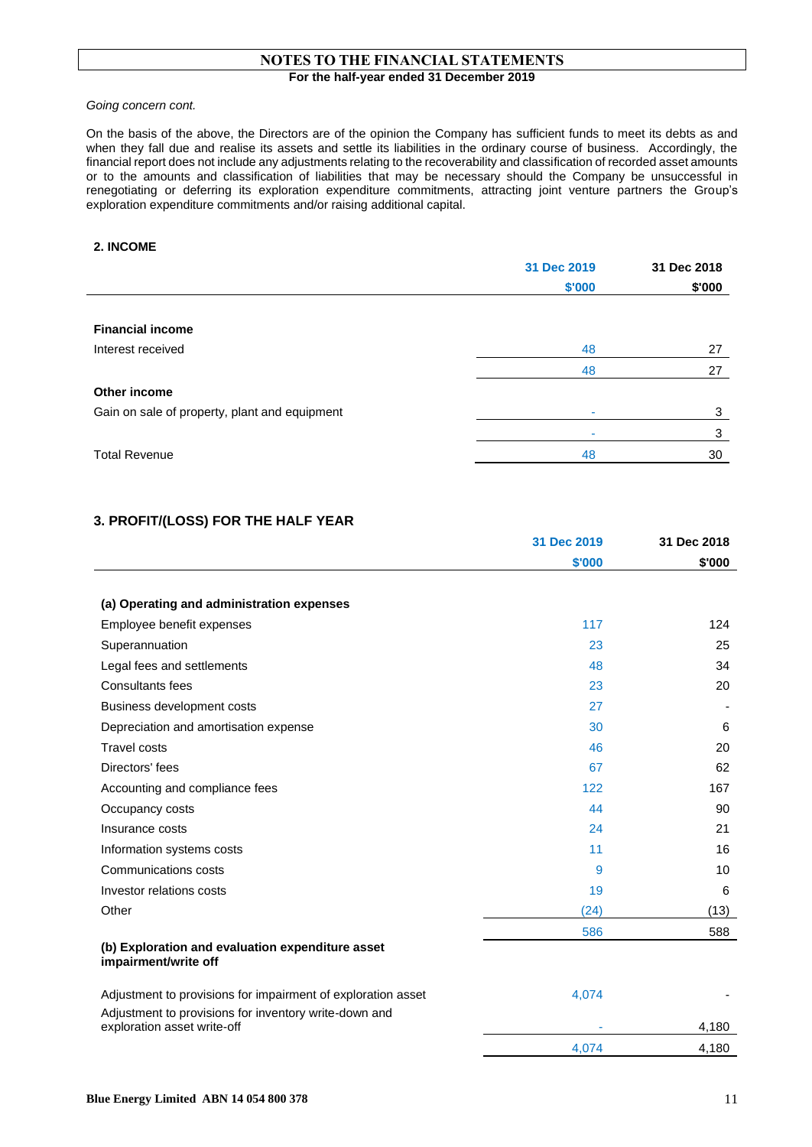# **NOTES TO THE FINANCIAL STATEMENTS For the half-year ended 31 December 2019**

*Going concern cont.*

On the basis of the above, the Directors are of the opinion the Company has sufficient funds to meet its debts as and when they fall due and realise its assets and settle its liabilities in the ordinary course of business. Accordingly, the financial report does not include any adjustments relating to the recoverability and classification of recorded asset amounts or to the amounts and classification of liabilities that may be necessary should the Company be unsuccessful in renegotiating or deferring its exploration expenditure commitments, attracting joint venture partners the Group's exploration expenditure commitments and/or raising additional capital.

## **2. INCOME**

|                                               | 31 Dec 2019 | 31 Dec 2018 |  |
|-----------------------------------------------|-------------|-------------|--|
|                                               | \$'000      | \$'000      |  |
|                                               |             |             |  |
| <b>Financial income</b>                       |             |             |  |
| Interest received                             | 48          | 27          |  |
|                                               | 48          | 27          |  |
| Other income                                  |             |             |  |
| Gain on sale of property, plant and equipment |             | 3           |  |
|                                               |             | 3           |  |
| <b>Total Revenue</b>                          | 48          | 30          |  |
|                                               |             |             |  |

# **3. PROFIT/(LOSS) FOR THE HALF YEAR**

|                                                                                      | 31 Dec 2019 | 31 Dec 2018 |
|--------------------------------------------------------------------------------------|-------------|-------------|
|                                                                                      | \$'000      | \$'000      |
|                                                                                      |             |             |
| (a) Operating and administration expenses                                            |             |             |
| Employee benefit expenses                                                            | 117         | 124         |
| Superannuation                                                                       | 23          | 25          |
| Legal fees and settlements                                                           | 48          | 34          |
| Consultants fees                                                                     | 23          | 20          |
| Business development costs                                                           | 27          |             |
| Depreciation and amortisation expense                                                | 30          | 6           |
| <b>Travel costs</b>                                                                  | 46          | 20          |
| Directors' fees                                                                      | 67          | 62          |
| Accounting and compliance fees                                                       | 122         | 167         |
| Occupancy costs                                                                      | 44          | 90          |
| Insurance costs                                                                      | 24          | 21          |
| Information systems costs                                                            | 11          | 16          |
| Communications costs                                                                 | 9           | 10          |
| Investor relations costs                                                             | 19          | 6           |
| Other                                                                                | (24)        | (13)        |
|                                                                                      | 586         | 588         |
| (b) Exploration and evaluation expenditure asset<br>impairment/write off             |             |             |
| Adjustment to provisions for impairment of exploration asset                         | 4,074       |             |
| Adjustment to provisions for inventory write-down and<br>exploration asset write-off |             | 4,180       |

4,074 4,180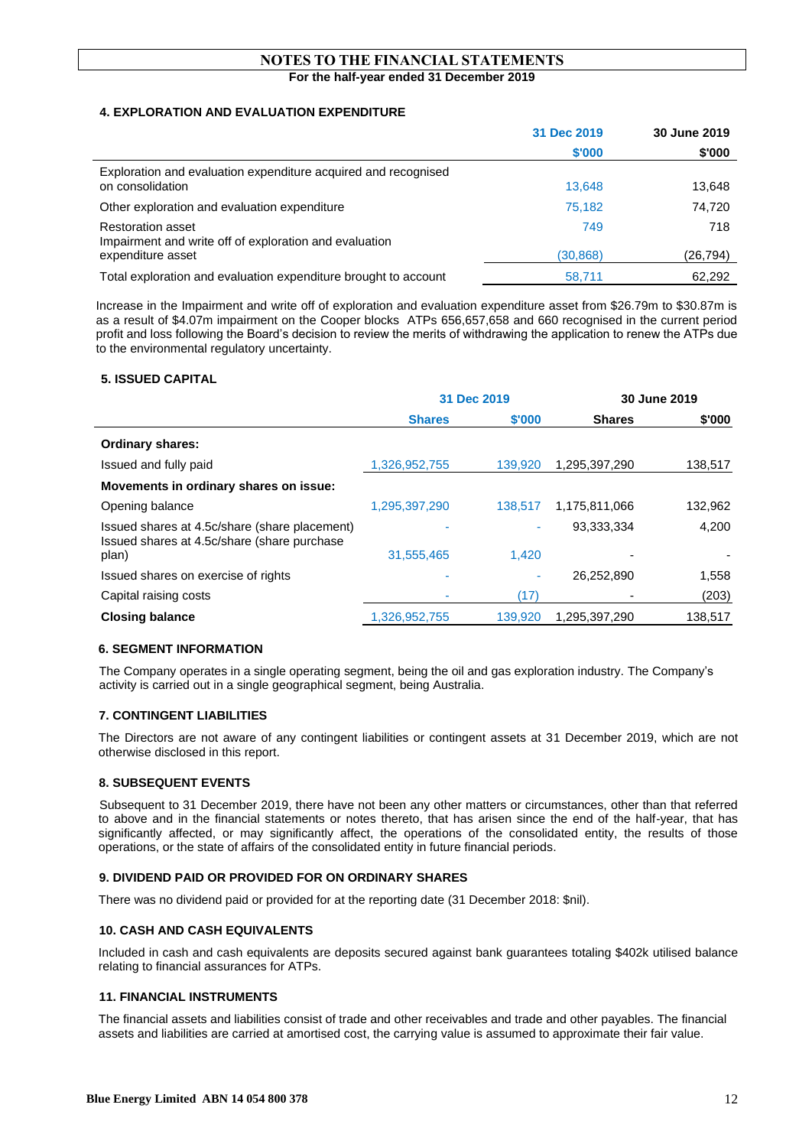# **NOTES TO THE FINANCIAL STATEMENTS For the half-year ended 31 December 2019**

# **4. EXPLORATION AND EVALUATION EXPENDITURE**

|                                                                                    | 31 Dec 2019 | 30 June 2019 |
|------------------------------------------------------------------------------------|-------------|--------------|
|                                                                                    | \$'000      | \$'000       |
| Exploration and evaluation expenditure acquired and recognised<br>on consolidation | 13.648      | 13,648       |
| Other exploration and evaluation expenditure                                       | 75,182      | 74,720       |
| <b>Restoration asset</b><br>Impairment and write off of exploration and evaluation | 749         | 718          |
| expenditure asset                                                                  | (30, 868)   | (26,794)     |
| Total exploration and evaluation expenditure brought to account                    | 58,711      | 62.292       |

Increase in the Impairment and write off of exploration and evaluation expenditure asset from \$26.79m to \$30.87m is as a result of \$4.07m impairment on the Cooper blocks ATPs 656,657,658 and 660 recognised in the current period profit and loss following the Board's decision to review the merits of withdrawing the application to renew the ATPs due to the environmental regulatory uncertainty.

# **5. ISSUED CAPITAL**

|                                                                                               | 31 Dec 2019   |         |               | 30 June 2019 |
|-----------------------------------------------------------------------------------------------|---------------|---------|---------------|--------------|
|                                                                                               | <b>Shares</b> | \$'000  | <b>Shares</b> | \$'000       |
| <b>Ordinary shares:</b>                                                                       |               |         |               |              |
| Issued and fully paid                                                                         | 1,326,952,755 | 139,920 | 1,295,397,290 | 138,517      |
| Movements in ordinary shares on issue:                                                        |               |         |               |              |
| Opening balance                                                                               | 1,295,397,290 | 138,517 | 1.175.811.066 | 132,962      |
| Issued shares at 4.5c/share (share placement)<br>Issued shares at 4.5c/share (share purchase) |               | ٠       | 93,333,334    | 4,200        |
| plan)                                                                                         | 31,555,465    | 1.420   |               |              |
| Issued shares on exercise of rights                                                           |               | ٠       | 26,252,890    | 1,558        |
| Capital raising costs                                                                         |               | (17)    |               | (203)        |
| <b>Closing balance</b>                                                                        | 1,326,952,755 | 139,920 | 1,295,397,290 | 138,517      |

# **6. SEGMENT INFORMATION**

The Company operates in a single operating segment, being the oil and gas exploration industry. The Company's activity is carried out in a single geographical segment, being Australia.

# **7. CONTINGENT LIABILITIES**

The Directors are not aware of any contingent liabilities or contingent assets at 31 December 2019, which are not otherwise disclosed in this report.

# **8. SUBSEQUENT EVENTS**

 Subsequent to 31 December 2019, there have not been any other matters or circumstances, other than that referred to above and in the financial statements or notes thereto, that has arisen since the end of the half-year, that has significantly affected, or may significantly affect, the operations of the consolidated entity, the results of those operations, or the state of affairs of the consolidated entity in future financial periods.

# **9. DIVIDEND PAID OR PROVIDED FOR ON ORDINARY SHARES**

There was no dividend paid or provided for at the reporting date (31 December 2018: \$nil).

# **10. CASH AND CASH EQUIVALENTS**

Included in cash and cash equivalents are deposits secured against bank guarantees totaling \$402k utilised balance relating to financial assurances for ATPs.

#### **11. FINANCIAL INSTRUMENTS**

The financial assets and liabilities consist of trade and other receivables and trade and other payables. The financial assets and liabilities are carried at amortised cost, the carrying value is assumed to approximate their fair value.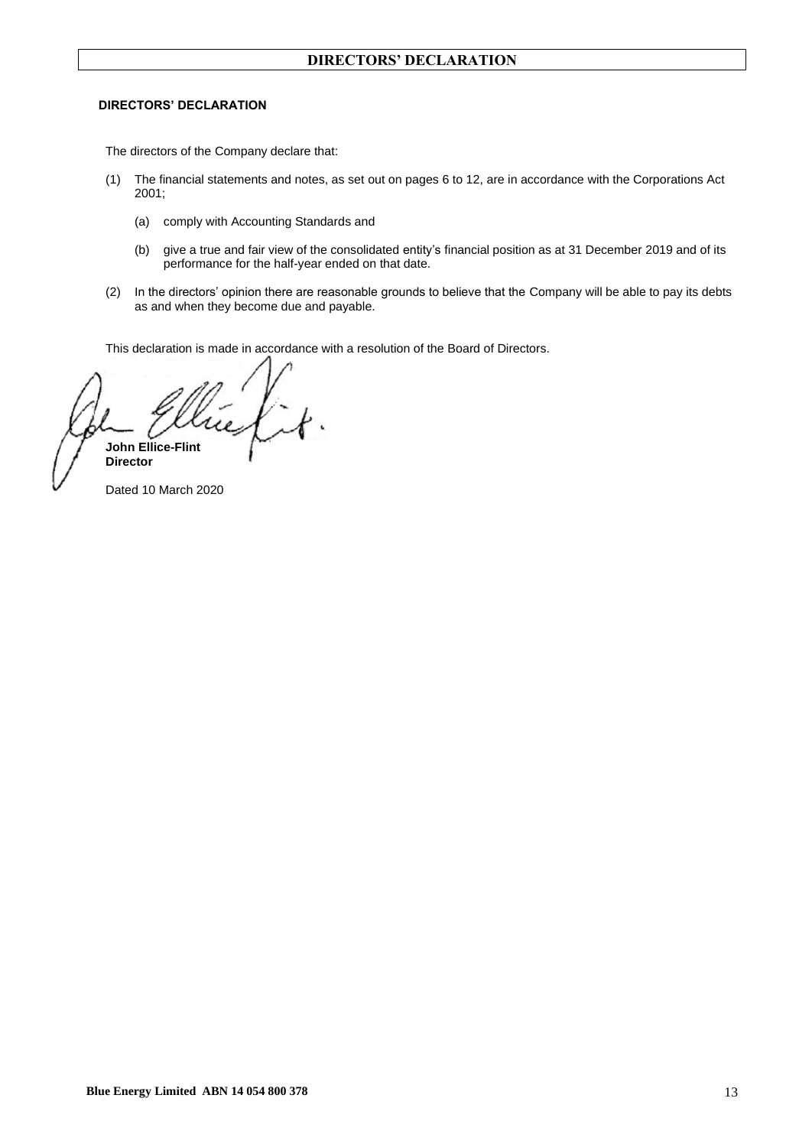### **DIRECTORS' DECLARATION**

The directors of the Company declare that:

- (1) The financial statements and notes, as set out on pages 6 to 12, are in accordance with the Corporations Act 2001;
	- (a) comply with Accounting Standards and
	- (b) give a true and fair view of the consolidated entity's financial position as at 31 December 2019 and of its performance for the half-year ended on that date.
- (2) In the directors' opinion there are reasonable grounds to believe that the Company will be able to pay its debts as and when they become due and payable.

This declaration is made in accordance with a resolution of the Board of Directors.

**John Ellice-Flint Director**

Dated 10 March 2020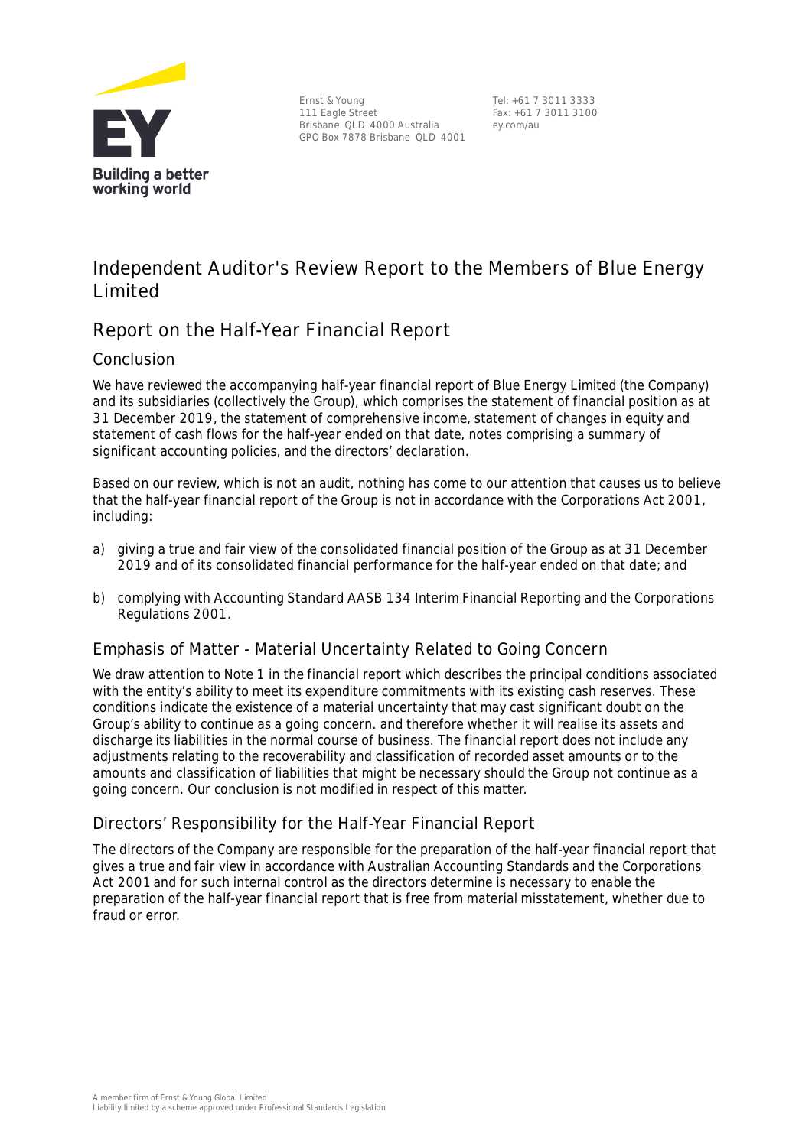

Ernst & Young 111 Eagle Street Brisbane QLD 4000 Australia GPO Box 7878 Brisbane QLD 4001

Tel: +61 7 3011 3333 Fax: +61 7 3011 3100 ey.com/au

# **Independent Auditor's Review Report to the Members of Blue Energy Limited**

# **Report on the Half-Year Financial Report**

# Conclusion

We have reviewed the accompanying half-year financial report of Blue Energy Limited (the Company) and its subsidiaries (collectively the Group), which comprises the statement of financial position as at 31 December 2019, the statement of comprehensive income, statement of changes in equity and statement of cash flows for the half-year ended on that date, notes comprising a summary of significant accounting policies, and the directors' declaration.

Based on our review, which is not an audit, nothing has come to our attention that causes us to believe that the half-year financial report of the Group is not in accordance with the *Corporations Act 2001*, including:

- a) giving a true and fair view of the consolidated financial position of the Group as at 31 December 2019 and of its consolidated financial performance for the half-year ended on that date; and
- b) complying with Accounting Standard AASB 134 *Interim Financial Reporting* and the *Corporations Regulations 2001*.

# Emphasis of Matter - Material Uncertainty Related to Going Concern

We draw attention to Note 1 in the financial report which describes the principal conditions associated with the entity's ability to meet its expenditure commitments with its existing cash reserves. These conditions indicate the existence of a material uncertainty that may cast significant doubt on the Group's ability to continue as a going concern. and therefore whether it will realise its assets and discharge its liabilities in the normal course of business. The financial report does not include any adjustments relating to the recoverability and classification of recorded asset amounts or to the amounts and classification of liabilities that might be necessary should the Group not continue as a going concern. Our conclusion is not modified in respect of this matter.

# Directors' Responsibility for the Half-Year Financial Report

The directors of the Company are responsible for the preparation of the half-year financial report that gives a true and fair view in accordance with Australian Accounting Standards and the *Corporations Act 2001*and for such internal control as the directors determine is necessary to enable the preparation of the half-year financial report that is free from material misstatement, whether due to fraud or error.